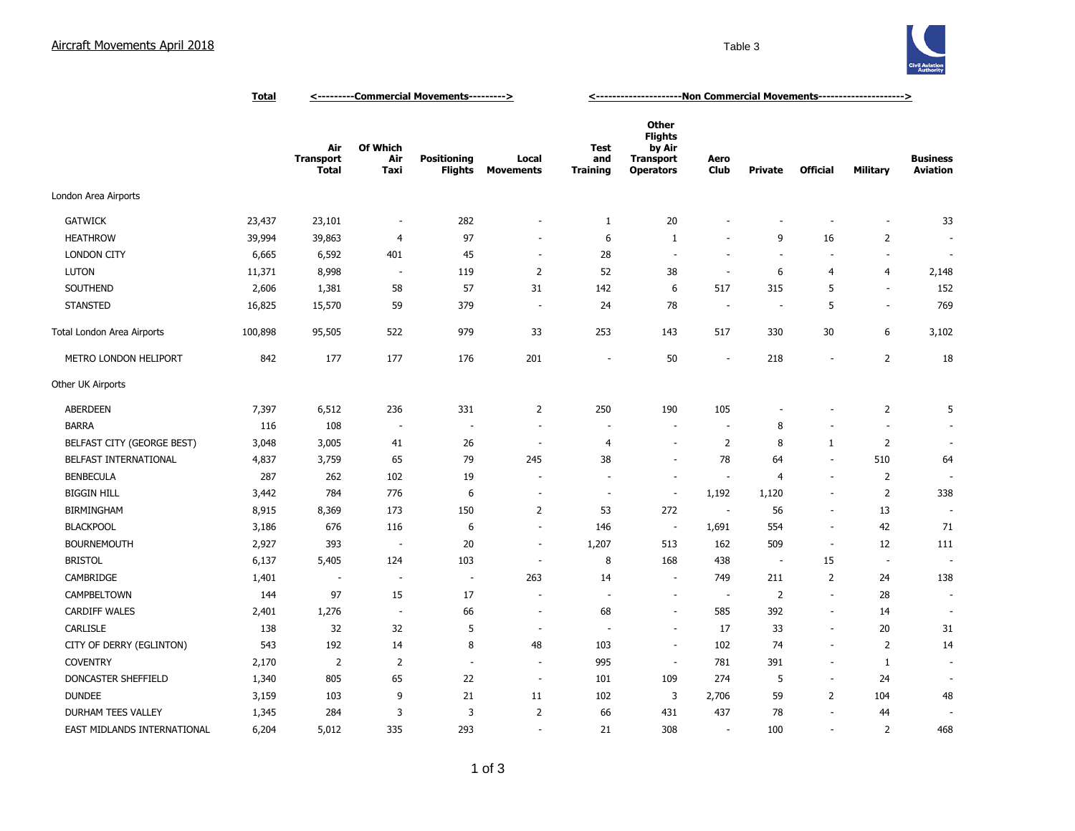## Aircraft Movements April 2018 and the Contract of the Contract of Table 3 and Table 3



|                             | <b>Total</b> | <---------Commercial Movements---------> |                          |                               |                           | <------------------------Non Commercial Movements---------------------> |                                                                                  |                          |                          |                          |                          |                                    |
|-----------------------------|--------------|------------------------------------------|--------------------------|-------------------------------|---------------------------|-------------------------------------------------------------------------|----------------------------------------------------------------------------------|--------------------------|--------------------------|--------------------------|--------------------------|------------------------------------|
|                             |              | Air<br><b>Transport</b><br><b>Total</b>  | Of Which<br>Air<br>Taxi  | <b>Positioning</b><br>Flights | Local<br><b>Movements</b> | <b>Test</b><br>and<br><b>Training</b>                                   | <b>Other</b><br><b>Flights</b><br>by Air<br><b>Transport</b><br><b>Operators</b> | Aero<br><b>Club</b>      | <b>Private</b>           | <b>Official</b>          | Military                 | <b>Business</b><br><b>Aviation</b> |
| London Area Airports        |              |                                          |                          |                               |                           |                                                                         |                                                                                  |                          |                          |                          |                          |                                    |
| <b>GATWICK</b>              | 23,437       | 23,101                                   | $\overline{\phantom{a}}$ | 282                           |                           | $\mathbf{1}$                                                            | 20                                                                               |                          |                          |                          | $\overline{\phantom{a}}$ | 33                                 |
| <b>HEATHROW</b>             | 39,994       | 39,863                                   | $\overline{4}$           | 97                            |                           | 6                                                                       | $\mathbf{1}$                                                                     |                          | 9                        | 16                       | $\overline{2}$           |                                    |
| <b>LONDON CITY</b>          | 6,665        | 6,592                                    | 401                      | 45                            | $\sim$                    | 28                                                                      | ÷.                                                                               | $\sim$                   | $\sim$                   |                          | ÷.                       |                                    |
| <b>LUTON</b>                | 11,371       | 8,998                                    | $\overline{\phantom{a}}$ | 119                           | $\overline{2}$            | 52                                                                      | 38                                                                               | $\sim$                   | 6                        | 4                        | 4                        | 2,148                              |
| SOUTHEND                    | 2,606        | 1,381                                    | 58                       | 57                            | 31                        | 142                                                                     | 6                                                                                | 517                      | 315                      | 5                        | ÷.                       | 152                                |
| <b>STANSTED</b>             | 16,825       | 15,570                                   | 59                       | 379                           | $\sim$                    | 24                                                                      | 78                                                                               | $\sim$                   | $\overline{\phantom{a}}$ | 5                        | $\sim$                   | 769                                |
| Total London Area Airports  | 100,898      | 95,505                                   | 522                      | 979                           | 33                        | 253                                                                     | 143                                                                              | 517                      | 330                      | 30                       | 6                        | 3,102                              |
| METRO LONDON HELIPORT       | 842          | 177                                      | 177                      | 176                           | 201                       |                                                                         | 50                                                                               | $\overline{\phantom{a}}$ | 218                      |                          | $\overline{2}$           | 18                                 |
| Other UK Airports           |              |                                          |                          |                               |                           |                                                                         |                                                                                  |                          |                          |                          |                          |                                    |
| <b>ABERDEEN</b>             | 7,397        | 6,512                                    | 236                      | 331                           | $\overline{2}$            | 250                                                                     | 190                                                                              | 105                      |                          |                          | $\overline{2}$           | 5                                  |
| <b>BARRA</b>                | 116          | 108                                      | $\overline{\phantom{a}}$ | $\overline{\phantom{a}}$      | $\overline{\phantom{a}}$  | $\overline{\phantom{a}}$                                                | $\overline{\phantom{a}}$                                                         | $\overline{\phantom{a}}$ | 8                        |                          | $\overline{\phantom{a}}$ |                                    |
| BELFAST CITY (GEORGE BEST)  | 3,048        | 3,005                                    | 41                       | 26                            | $\overline{\phantom{a}}$  | $\overline{4}$                                                          | $\overline{\phantom{a}}$                                                         | $\overline{2}$           | 8                        | $\mathbf{1}$             | $\overline{2}$           |                                    |
| BELFAST INTERNATIONAL       | 4,837        | 3,759                                    | 65                       | 79                            | 245                       | 38                                                                      | $\sim$                                                                           | 78                       | 64                       | $\sim$                   | 510                      | 64                                 |
| <b>BENBECULA</b>            | 287          | 262                                      | 102                      | 19                            |                           | $\overline{\phantom{a}}$                                                | $\overline{\phantom{a}}$                                                         | $\overline{\phantom{a}}$ | 4                        | $\overline{\phantom{a}}$ | $\overline{2}$           |                                    |
| <b>BIGGIN HILL</b>          | 3,442        | 784                                      | 776                      | 6                             |                           | $\overline{\phantom{a}}$                                                | $\overline{\phantom{a}}$                                                         | 1,192                    | 1,120                    |                          | $\overline{2}$           | 338                                |
| <b>BIRMINGHAM</b>           | 8,915        | 8,369                                    | 173                      | 150                           | $\overline{2}$            | 53                                                                      | 272                                                                              | $\overline{\phantom{a}}$ | 56                       |                          | 13                       |                                    |
| <b>BLACKPOOL</b>            | 3,186        | 676                                      | 116                      | 6                             | $\sim$                    | 146                                                                     | $\overline{\phantom{a}}$                                                         | 1,691                    | 554                      | $\overline{\phantom{a}}$ | 42                       | 71                                 |
| <b>BOURNEMOUTH</b>          | 2,927        | 393                                      | $\overline{\phantom{a}}$ | 20                            | $\overline{\phantom{a}}$  | 1,207                                                                   | 513                                                                              | 162                      | 509                      | $\overline{\phantom{a}}$ | 12                       | 111                                |
| <b>BRISTOL</b>              | 6,137        | 5,405                                    | 124                      | 103                           | $\sim$                    | 8                                                                       | 168                                                                              | 438                      | $\overline{\phantom{a}}$ | 15                       | $\overline{\phantom{a}}$ |                                    |
| CAMBRIDGE                   | 1,401        | $\sim$                                   | $\overline{\phantom{a}}$ | $\overline{\phantom{a}}$      | 263                       | 14                                                                      | $\sim$                                                                           | 749                      | 211                      | $\overline{2}$           | 24                       | 138                                |
| CAMPBELTOWN                 | 144          | 97                                       | 15                       | 17                            |                           | ÷,                                                                      | $\overline{\phantom{a}}$                                                         | $\overline{\phantom{a}}$ | $\overline{2}$           | $\overline{\phantom{a}}$ | 28                       |                                    |
| <b>CARDIFF WALES</b>        | 2,401        | 1,276                                    | $\overline{\phantom{a}}$ | 66                            | $\overline{\phantom{a}}$  | 68                                                                      | ÷,                                                                               | 585                      | 392                      | $\overline{\phantom{a}}$ | 14                       |                                    |
| <b>CARLISLE</b>             | 138          | 32                                       | 32                       | 5                             | $\overline{\phantom{a}}$  |                                                                         | $\overline{\phantom{a}}$                                                         | 17                       | 33                       | $\overline{\phantom{a}}$ | 20                       | 31                                 |
| CITY OF DERRY (EGLINTON)    | 543          | 192                                      | 14                       | 8                             | 48                        | 103                                                                     | $\overline{\phantom{a}}$                                                         | 102                      | 74                       |                          | $\overline{2}$           | 14                                 |
| <b>COVENTRY</b>             | 2,170        | $\overline{2}$                           | $\overline{2}$           | $\sim$                        | $\overline{\phantom{a}}$  | 995                                                                     | $\overline{\phantom{a}}$                                                         | 781                      | 391                      | $\overline{\phantom{a}}$ | 1                        |                                    |
| DONCASTER SHEFFIELD         | 1,340        | 805                                      | 65                       | 22                            | $\overline{\phantom{a}}$  | 101                                                                     | 109                                                                              | 274                      | 5                        | $\sim$                   | 24                       |                                    |
| <b>DUNDEE</b>               | 3,159        | 103                                      | 9                        | 21                            | 11                        | 102                                                                     | 3                                                                                | 2,706                    | 59                       | $\overline{2}$           | 104                      | 48                                 |
| DURHAM TEES VALLEY          | 1,345        | 284                                      | 3                        | 3                             | $\overline{2}$            | 66                                                                      | 431                                                                              | 437                      | 78                       | $\overline{\phantom{a}}$ | 44                       |                                    |
| EAST MIDLANDS INTERNATIONAL | 6,204        | 5,012                                    | 335                      | 293                           | $\overline{\phantom{a}}$  | 21                                                                      | 308                                                                              | $\sim$                   | 100                      |                          | $\overline{2}$           | 468                                |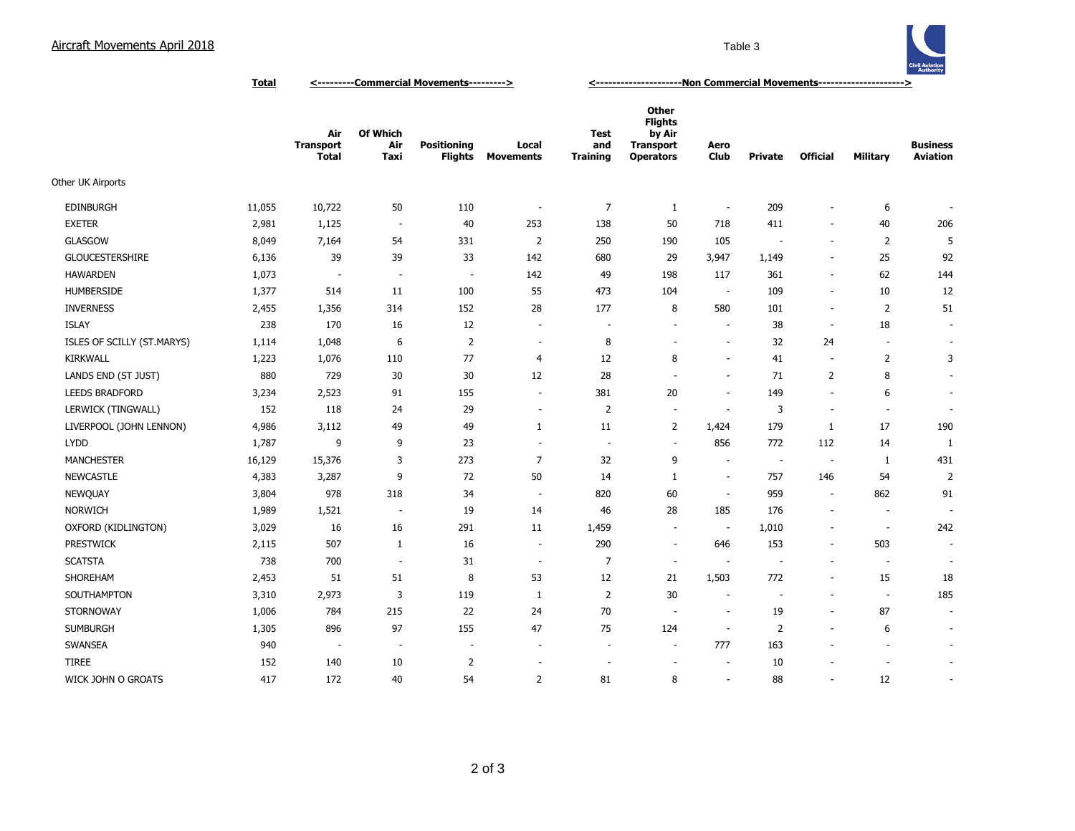## Aircraft Movements April 2018 **Table 3** Table 3



**Total <---------Commercial Movements---------> <---------------------Non Commercial Movements--------------------->**

|                            |        | Air<br><b>Transport</b><br><b>Total</b> | Of Which<br>Air<br>Taxi  | <b>Positioning</b><br>Flights | Local<br><b>Movements</b> | <b>Test</b><br>and<br><b>Training</b> | <b>Other</b><br><b>Flights</b><br>by Air<br><b>Transport</b><br><b>Operators</b> | Aero<br><b>Club</b>      | <b>Private</b>           | <b>Official</b>          | Military                 | <b>Business</b><br><b>Aviation</b> |
|----------------------------|--------|-----------------------------------------|--------------------------|-------------------------------|---------------------------|---------------------------------------|----------------------------------------------------------------------------------|--------------------------|--------------------------|--------------------------|--------------------------|------------------------------------|
| Other UK Airports          |        |                                         |                          |                               |                           |                                       |                                                                                  |                          |                          |                          |                          |                                    |
| <b>EDINBURGH</b>           | 11,055 | 10,722                                  | 50                       | 110                           | $\overline{\phantom{a}}$  | $\overline{7}$                        | $\mathbf{1}$                                                                     | $\overline{\phantom{a}}$ | 209                      | $\overline{a}$           | 6                        |                                    |
| <b>EXETER</b>              | 2,981  | 1,125                                   | $\sim$                   | 40                            | 253                       | 138                                   | 50                                                                               | 718                      | 411                      | $\overline{\phantom{a}}$ | 40                       | 206                                |
| <b>GLASGOW</b>             | 8,049  | 7,164                                   | 54                       | 331                           | $\overline{2}$            | 250                                   | 190                                                                              | 105                      |                          | $\overline{\phantom{a}}$ | 2                        | 5                                  |
| <b>GLOUCESTERSHIRE</b>     | 6,136  | 39                                      | 39                       | 33                            | 142                       | 680                                   | 29                                                                               | 3,947                    | 1,149                    | $\overline{\phantom{a}}$ | 25                       | 92                                 |
| <b>HAWARDEN</b>            | 1,073  | $\overline{\phantom{a}}$                | $\overline{\phantom{a}}$ | $\overline{\phantom{a}}$      | 142                       | 49                                    | 198                                                                              | 117                      | 361                      | $\overline{\phantom{a}}$ | 62                       | 144                                |
| <b>HUMBERSIDE</b>          | 1,377  | 514                                     | 11                       | 100                           | 55                        | 473                                   | 104                                                                              | $\sim$                   | 109                      | $\blacksquare$           | 10                       | 12                                 |
| <b>INVERNESS</b>           | 2,455  | 1,356                                   | 314                      | 152                           | 28                        | 177                                   | 8                                                                                | 580                      | 101                      | $\sim$                   | 2                        | 51                                 |
| <b>ISLAY</b>               | 238    | 170                                     | 16                       | 12                            | $\sim$                    | $\overline{\phantom{a}}$              | $\overline{\phantom{a}}$                                                         | $\overline{\phantom{a}}$ | 38                       | $\blacksquare$           | 18                       | $\overline{\phantom{a}}$           |
| ISLES OF SCILLY (ST.MARYS) | 1,114  | 1,048                                   | 6                        | $\overline{2}$                | $\sim$                    | 8                                     | $\overline{\phantom{a}}$                                                         | $\overline{a}$           | 32                       | 24                       | $\overline{\phantom{a}}$ | $\sim$                             |
| <b>KIRKWALL</b>            | 1,223  | 1,076                                   | 110                      | 77                            | 4                         | 12                                    | 8                                                                                | ٠                        | 41                       | $\overline{\phantom{a}}$ | 2                        | 3                                  |
| LANDS END (ST JUST)        | 880    | 729                                     | 30                       | 30                            | 12                        | 28                                    | ÷.                                                                               | $\overline{\phantom{a}}$ | 71                       | $\overline{2}$           | 8                        | $\blacksquare$                     |
| <b>LEEDS BRADFORD</b>      | 3,234  | 2,523                                   | 91                       | 155                           | $\sim$                    | 381                                   | 20                                                                               | $\overline{a}$           | 149                      | $\sim$                   | 6                        | $\sim$                             |
| LERWICK (TINGWALL)         | 152    | 118                                     | 24                       | 29                            | $\overline{\phantom{a}}$  | $\overline{2}$                        | $\overline{\phantom{a}}$                                                         | $\overline{a}$           | 3                        | $\overline{\phantom{a}}$ | $\overline{\phantom{a}}$ | $\overline{\phantom{a}}$           |
| LIVERPOOL (JOHN LENNON)    | 4,986  | 3,112                                   | 49                       | 49                            | 1                         | 11                                    | 2                                                                                | 1,424                    | 179                      | 1                        | 17                       | 190                                |
| <b>LYDD</b>                | 1,787  | 9                                       | 9                        | 23                            | $\sim$                    | $\overline{\phantom{a}}$              | $\overline{\phantom{a}}$                                                         | 856                      | 772                      | 112                      | 14                       | 1                                  |
| <b>MANCHESTER</b>          | 16,129 | 15,376                                  | 3                        | 273                           | $\overline{7}$            | 32                                    | 9                                                                                | $\overline{a}$           | $\overline{\phantom{a}}$ | $\overline{\phantom{a}}$ | 1                        | 431                                |
| <b>NEWCASTLE</b>           | 4,383  | 3,287                                   | 9                        | 72                            | 50                        | 14                                    | 1                                                                                | $\overline{\phantom{a}}$ | 757                      | 146                      | 54                       | $\overline{2}$                     |
| <b>NEWQUAY</b>             | 3,804  | 978                                     | 318                      | 34                            | $\sim$                    | 820                                   | 60                                                                               | $\sim$                   | 959                      | $\overline{\phantom{a}}$ | 862                      | 91                                 |
| <b>NORWICH</b>             | 1,989  | 1,521                                   | $\sim$                   | 19                            | 14                        | 46                                    | 28                                                                               | 185                      | 176                      | $\overline{\phantom{a}}$ | $\overline{\phantom{a}}$ | $\overline{\phantom{a}}$           |
| OXFORD (KIDLINGTON)        | 3,029  | 16                                      | 16                       | 291                           | 11                        | 1,459                                 | $\sim$                                                                           | $\overline{\phantom{a}}$ | 1,010                    | $\overline{a}$           | $\overline{\phantom{a}}$ | 242                                |
| PRESTWICK                  | 2,115  | 507                                     | $\mathbf{1}$             | 16                            | $\sim$                    | 290                                   | $\sim$                                                                           | 646                      | 153                      | $\sim$                   | 503                      | ÷.                                 |
| <b>SCATSTA</b>             | 738    | 700                                     | $\sim$                   | 31                            | $\sim$                    | 7                                     | $\sim$                                                                           | $\overline{\phantom{a}}$ | $\sim$                   | $\overline{\phantom{a}}$ | $\overline{\phantom{a}}$ | $\overline{\phantom{a}}$           |
| SHOREHAM                   | 2,453  | 51                                      | 51                       | 8                             | 53                        | 12                                    | 21                                                                               | 1,503                    | 772                      | $\overline{\phantom{a}}$ | 15                       | 18                                 |
| SOUTHAMPTON                | 3,310  | 2,973                                   | 3                        | 119                           | 1                         | $\overline{2}$                        | 30                                                                               | $\overline{\phantom{a}}$ | $\overline{\phantom{a}}$ | ÷.                       | $\sim$                   | 185                                |
| STORNOWAY                  | 1,006  | 784                                     | 215                      | 22                            | 24                        | 70                                    | $\overline{\phantom{a}}$                                                         | $\sim$                   | 19                       | $\blacksquare$           | 87                       | $\overline{\phantom{a}}$           |
| <b>SUMBURGH</b>            | 1,305  | 896                                     | 97                       | 155                           | 47                        | 75                                    | 124                                                                              | $\overline{\phantom{a}}$ | $\overline{2}$           | $\overline{\phantom{a}}$ | 6                        | $\overline{\phantom{a}}$           |
| SWANSEA                    | 940    | $\overline{\phantom{a}}$                | $\overline{\phantom{a}}$ | $\overline{\phantom{a}}$      | $\sim$                    | $\overline{\phantom{a}}$              | $\overline{\phantom{a}}$                                                         | 777                      | 163                      | $\overline{\phantom{a}}$ | $\overline{a}$           | $\overline{\phantom{a}}$           |
| <b>TIREE</b>               | 152    | 140                                     | 10                       | $\overline{2}$                |                           |                                       | $\sim$                                                                           | $\sim$                   | 10                       |                          | ÷,                       | $\sim$                             |
| WICK JOHN O GROATS         | 417    | 172                                     | 40                       | 54                            | 2                         | 81                                    | 8                                                                                | ÷,                       | 88                       | ÷.                       | 12                       | ÷.                                 |